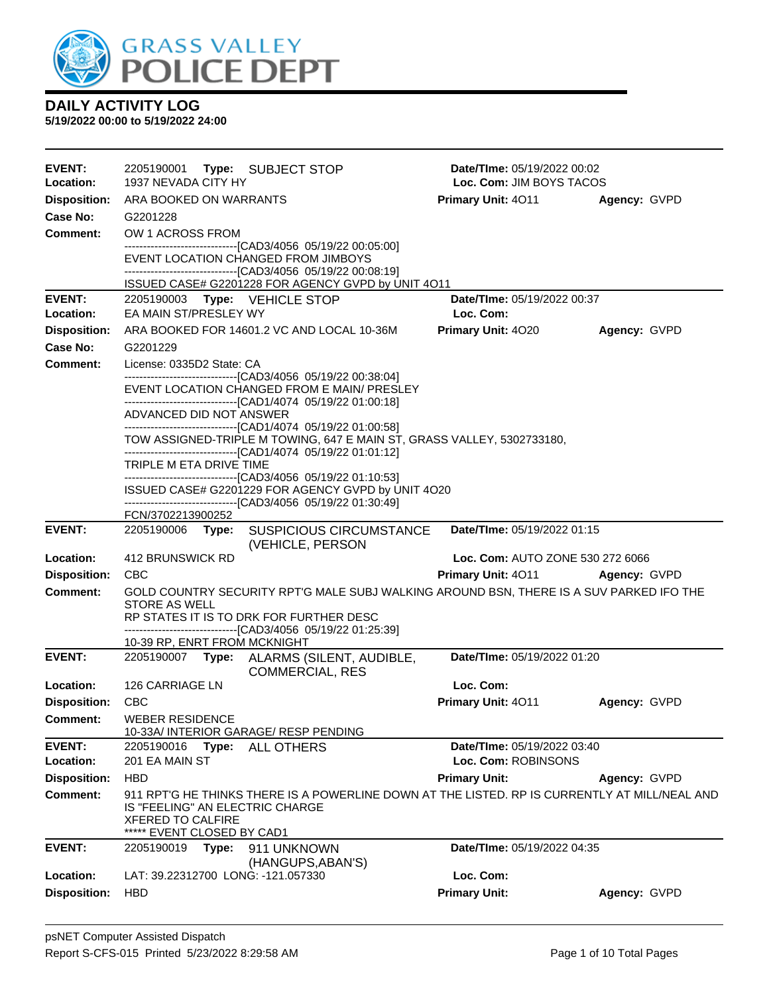

| EVENT:              | 2205190001                                                                                | Type: SUBJECT STOP                                                                                                                                                   | <b>Date/Time: 05/19/2022 00:02</b> |              |
|---------------------|-------------------------------------------------------------------------------------------|----------------------------------------------------------------------------------------------------------------------------------------------------------------------|------------------------------------|--------------|
| Location:           | 1937 NEVADA CITY HY                                                                       |                                                                                                                                                                      | Loc. Com: JIM BOYS TACOS           |              |
| <b>Disposition:</b> | ARA BOOKED ON WARRANTS                                                                    |                                                                                                                                                                      | <b>Primary Unit: 4011</b>          | Agency: GVPD |
| Case No:            | G2201228                                                                                  |                                                                                                                                                                      |                                    |              |
| <b>Comment:</b>     | OW 1 ACROSS FROM                                                                          |                                                                                                                                                                      |                                    |              |
|                     |                                                                                           | -------------------------------[CAD3/4056 05/19/22 00:05:00]<br>EVENT LOCATION CHANGED FROM JIMBOYS<br>--------------------------------[CAD3/4056 05/19/22 00:08:19] |                                    |              |
|                     |                                                                                           | ISSUED CASE# G2201228 FOR AGENCY GVPD by UNIT 4O11                                                                                                                   |                                    |              |
| <b>EVENT:</b>       | 2205190003 Type: VEHICLE STOP                                                             |                                                                                                                                                                      | Date/TIme: 05/19/2022 00:37        |              |
| Location:           | EA MAIN ST/PRESLEY WY                                                                     |                                                                                                                                                                      | Loc. Com:                          |              |
| <b>Disposition:</b> |                                                                                           | ARA BOOKED FOR 14601.2 VC AND LOCAL 10-36M                                                                                                                           | Primary Unit: 4020                 | Agency: GVPD |
| <b>Case No:</b>     | G2201229                                                                                  |                                                                                                                                                                      |                                    |              |
| <b>Comment:</b>     | License: 0335D2 State: CA                                                                 | -------------------------------[CAD3/4056 05/19/22 00:38:04]                                                                                                         |                                    |              |
|                     |                                                                                           | EVENT LOCATION CHANGED FROM E MAIN/ PRESLEY                                                                                                                          |                                    |              |
|                     |                                                                                           | -------------------------------[CAD1/4074 05/19/22 01:00:18]                                                                                                         |                                    |              |
|                     | ADVANCED DID NOT ANSWER                                                                   | -------------------------------[CAD1/4074 05/19/22 01:00:58]                                                                                                         |                                    |              |
|                     |                                                                                           | TOW ASSIGNED-TRIPLE M TOWING, 647 E MAIN ST, GRASS VALLEY, 5302733180,                                                                                               |                                    |              |
|                     |                                                                                           | -------------------------------[CAD1/4074 05/19/22 01:01:12]                                                                                                         |                                    |              |
|                     | TRIPLE M ETA DRIVE TIME                                                                   | --------------------------------[CAD3/4056 05/19/22 01:10:53]                                                                                                        |                                    |              |
|                     |                                                                                           | ISSUED CASE# G2201229 FOR AGENCY GVPD by UNIT 4O20                                                                                                                   |                                    |              |
|                     |                                                                                           | ------------------------------[CAD3/4056 05/19/22 01:30:49]                                                                                                          |                                    |              |
| <b>EVENT:</b>       | FCN/3702213900252                                                                         | 2205190006 Type: SUSPICIOUS CIRCUMSTANCE                                                                                                                             | Date/TIme: 05/19/2022 01:15        |              |
|                     |                                                                                           | (VEHICLE, PERSON                                                                                                                                                     |                                    |              |
| Location:           | 412 BRUNSWICK RD                                                                          |                                                                                                                                                                      | Loc. Com: AUTO ZONE 530 272 6066   |              |
| <b>Disposition:</b> | <b>CBC</b>                                                                                |                                                                                                                                                                      | <b>Primary Unit: 4011</b>          | Agency: GVPD |
| <b>Comment:</b>     |                                                                                           | GOLD COUNTRY SECURITY RPT'G MALE SUBJ WALKING AROUND BSN, THERE IS A SUV PARKED IFO THE                                                                              |                                    |              |
|                     | <b>STORE AS WELL</b>                                                                      | RP STATES IT IS TO DRK FOR FURTHER DESC                                                                                                                              |                                    |              |
|                     |                                                                                           | ------------------------------[CAD3/4056 05/19/22 01:25:39]                                                                                                          |                                    |              |
|                     | 10-39 RP, ENRT FROM MCKNIGHT                                                              |                                                                                                                                                                      |                                    |              |
| <b>EVENT:</b>       | 2205190007<br>Type:                                                                       | ALARMS (SILENT, AUDIBLE,<br><b>COMMERCIAL, RES</b>                                                                                                                   | Date/TIme: 05/19/2022 01:20        |              |
| Location:           | 126 CARRIAGE LN                                                                           |                                                                                                                                                                      | Loc. Com:                          |              |
| <b>Disposition:</b> | <b>CBC</b>                                                                                |                                                                                                                                                                      | Primary Unit: 4011                 | Agency: GVPD |
| <b>Comment:</b>     | <b>WEBER RESIDENCE</b>                                                                    | 10-33A/ INTERIOR GARAGE/ RESP PENDING                                                                                                                                |                                    |              |
| <b>EVENT:</b>       | 2205190016<br>Type:                                                                       | <b>ALL OTHERS</b>                                                                                                                                                    | Date/TIme: 05/19/2022 03:40        |              |
| Location:           | 201 EA MAIN ST                                                                            |                                                                                                                                                                      | Loc. Com: ROBINSONS                |              |
| <b>Disposition:</b> | <b>HBD</b>                                                                                |                                                                                                                                                                      | <b>Primary Unit:</b>               | Agency: GVPD |
| <b>Comment:</b>     | IS "FEELING" AN ELECTRIC CHARGE<br><b>XFERED TO CALFIRE</b><br>***** EVENT CLOSED BY CAD1 | 911 RPT'G HE THINKS THERE IS A POWERLINE DOWN AT THE LISTED. RP IS CURRENTLY AT MILL/NEAL AND                                                                        |                                    |              |
| <b>EVENT:</b>       | 2205190019<br>Type:                                                                       | 911 UNKNOWN                                                                                                                                                          | Date/TIme: 05/19/2022 04:35        |              |
|                     |                                                                                           | (HANGUPS, ABAN'S)                                                                                                                                                    |                                    |              |
| Location:           | LAT: 39.22312700 LONG: -121.057330                                                        |                                                                                                                                                                      | Loc. Com:                          |              |
| <b>Disposition:</b> | <b>HBD</b>                                                                                |                                                                                                                                                                      | <b>Primary Unit:</b>               | Agency: GVPD |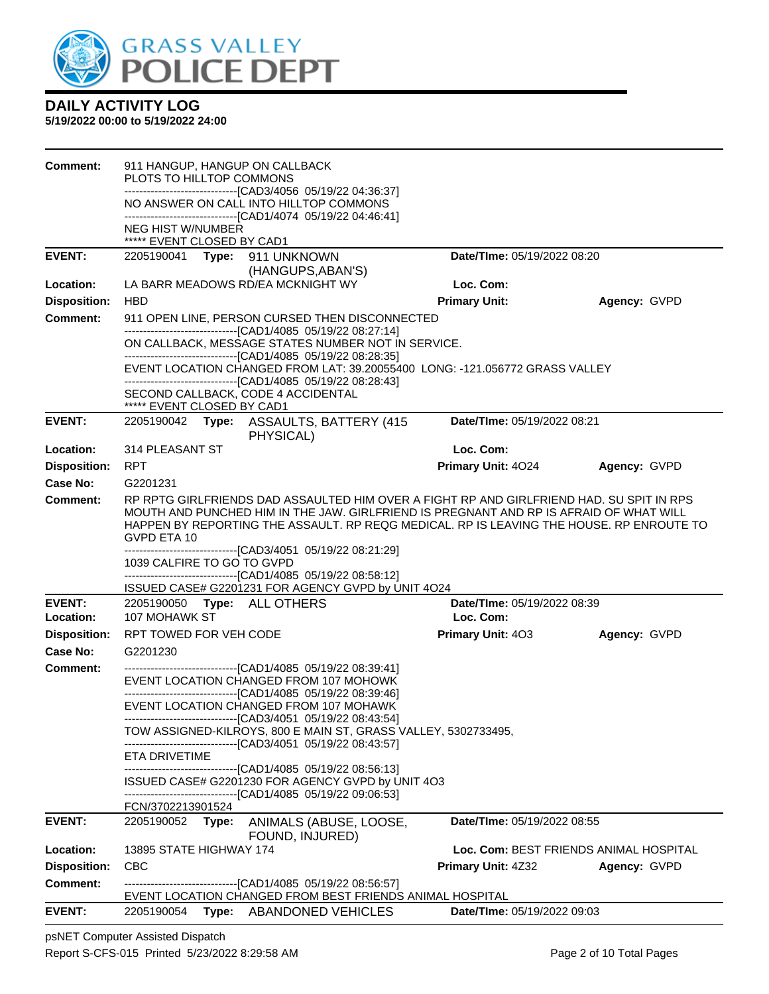

**5/19/2022 00:00 to 5/19/2022 24:00**

| <b>Comment:</b>     | 911 HANGUP, HANGUP ON CALLBACK<br>PLOTS TO HILLTOP COMMONS |                                                                                                                                                                                                                                                                                                                                                                                                                  |                             |                                        |
|---------------------|------------------------------------------------------------|------------------------------------------------------------------------------------------------------------------------------------------------------------------------------------------------------------------------------------------------------------------------------------------------------------------------------------------------------------------------------------------------------------------|-----------------------------|----------------------------------------|
|                     |                                                            | -------------------------------[CAD3/4056 05/19/22 04:36:37]                                                                                                                                                                                                                                                                                                                                                     |                             |                                        |
|                     |                                                            | NO ANSWER ON CALL INTO HILLTOP COMMONS<br>-------------------------------[CAD1/4074 05/19/22 04:46:41]                                                                                                                                                                                                                                                                                                           |                             |                                        |
|                     | <b>NEG HIST W/NUMBER</b><br>***** EVENT CLOSED BY CAD1     |                                                                                                                                                                                                                                                                                                                                                                                                                  |                             |                                        |
| <b>EVENT:</b>       |                                                            | 2205190041 Type: 911 UNKNOWN                                                                                                                                                                                                                                                                                                                                                                                     | Date/TIme: 05/19/2022 08:20 |                                        |
| Location:           |                                                            | (HANGUPS, ABAN'S)<br>LA BARR MEADOWS RD/EA MCKNIGHT WY                                                                                                                                                                                                                                                                                                                                                           | Loc. Com:                   |                                        |
| <b>Disposition:</b> | <b>HBD</b>                                                 |                                                                                                                                                                                                                                                                                                                                                                                                                  | <b>Primary Unit:</b>        | Agency: GVPD                           |
| Comment:            |                                                            | 911 OPEN LINE, PERSON CURSED THEN DISCONNECTED                                                                                                                                                                                                                                                                                                                                                                   |                             |                                        |
|                     |                                                            | -------------------------------[CAD1/4085 05/19/22 08:27:14]<br>ON CALLBACK, MESSAGE STATES NUMBER NOT IN SERVICE.                                                                                                                                                                                                                                                                                               |                             |                                        |
|                     |                                                            | -------------------------------[CAD1/4085 05/19/22 08:28:35]<br>EVENT LOCATION CHANGED FROM LAT: 39.20055400 LONG: -121.056772 GRASS VALLEY                                                                                                                                                                                                                                                                      |                             |                                        |
|                     |                                                            | -------------------------------[CAD1/4085 05/19/22 08:28:43]                                                                                                                                                                                                                                                                                                                                                     |                             |                                        |
|                     | ***** EVENT CLOSED BY CAD1                                 | SECOND CALLBACK, CODE 4 ACCIDENTAL                                                                                                                                                                                                                                                                                                                                                                               |                             |                                        |
| <b>EVENT:</b>       |                                                            | 2205190042 Type: ASSAULTS, BATTERY (415<br>PHYSICAL)                                                                                                                                                                                                                                                                                                                                                             | Date/TIme: 05/19/2022 08:21 |                                        |
| Location:           | 314 PLEASANT ST                                            |                                                                                                                                                                                                                                                                                                                                                                                                                  | Loc. Com:                   |                                        |
| <b>Disposition:</b> | <b>RPT</b>                                                 |                                                                                                                                                                                                                                                                                                                                                                                                                  | Primary Unit: 4024          | Agency: GVPD                           |
| Case No:            | G2201231                                                   |                                                                                                                                                                                                                                                                                                                                                                                                                  |                             |                                        |
| Comment:            | GVPD ETA 10<br>1039 CALFIRE TO GO TO GVPD                  | RP RPTG GIRLFRIENDS DAD ASSAULTED HIM OVER A FIGHT RP AND GIRLFRIEND HAD. SU SPIT IN RPS<br>MOUTH AND PUNCHED HIM IN THE JAW. GIRLFRIEND IS PREGNANT AND RP IS AFRAID OF WHAT WILL<br>HAPPEN BY REPORTING THE ASSAULT. RP REQG MEDICAL. RP IS LEAVING THE HOUSE. RP ENROUTE TO<br>--------------------------------[CAD3/4051_05/19/22 08:21:29]                                                                  |                             |                                        |
|                     |                                                            | -------------------------------[CAD1/4085 05/19/22 08:58:12]<br>ISSUED CASE# G2201231 FOR AGENCY GVPD by UNIT 4O24                                                                                                                                                                                                                                                                                               |                             |                                        |
| <b>EVENT:</b>       | 2205190050 Type: ALL OTHERS                                |                                                                                                                                                                                                                                                                                                                                                                                                                  | Date/TIme: 05/19/2022 08:39 |                                        |
| Location:           | 107 MOHAWK ST                                              |                                                                                                                                                                                                                                                                                                                                                                                                                  | Loc. Com:                   |                                        |
| <b>Disposition:</b> | RPT TOWED FOR VEH CODE                                     |                                                                                                                                                                                                                                                                                                                                                                                                                  | Primary Unit: 403           | Agency: GVPD                           |
| Case No:            | G2201230                                                   |                                                                                                                                                                                                                                                                                                                                                                                                                  |                             |                                        |
| <b>Comment:</b>     |                                                            | -------------------------------[CAD1/4085 05/19/22 08:39:41]<br>EVENT LOCATION CHANGED FROM 107 MOHOWK<br>------------------------------[CAD1/4085 05/19/22 08:39:46]<br>EVENT LOCATION CHANGED FROM 107 MOHAWK<br>------------------------------[CAD3/4051_05/19/22 08:43:54]<br>TOW ASSIGNED-KILROYS, 800 E MAIN ST, GRASS VALLEY, 5302733495,<br>-------------------------------[CAD3/4051 05/19/22 08:43:57] |                             |                                        |
|                     | ETA DRIVETIME                                              | -------------------[CAD1/4085 05/19/22 08:56:13]                                                                                                                                                                                                                                                                                                                                                                 |                             |                                        |
|                     | FCN/3702213901524                                          | ISSUED CASE# G2201230 FOR AGENCY GVPD by UNIT 4O3<br>-------------------------------[CAD1/4085 05/19/22 09:06:53]                                                                                                                                                                                                                                                                                                |                             |                                        |
| <b>EVENT:</b>       | 2205190052 Type:                                           | ANIMALS (ABUSE, LOOSE,                                                                                                                                                                                                                                                                                                                                                                                           | Date/TIme: 05/19/2022 08:55 |                                        |
|                     |                                                            | FOUND, INJURED)                                                                                                                                                                                                                                                                                                                                                                                                  |                             |                                        |
| Location:           | 13895 STATE HIGHWAY 174                                    |                                                                                                                                                                                                                                                                                                                                                                                                                  |                             | Loc. Com: BEST FRIENDS ANIMAL HOSPITAL |
| <b>Disposition:</b> | <b>CBC</b>                                                 |                                                                                                                                                                                                                                                                                                                                                                                                                  | <b>Primary Unit: 4Z32</b>   | Agency: GVPD                           |
| <b>Comment:</b>     |                                                            | ------------------------------[CAD1/4085 05/19/22 08:56:57]<br>EVENT LOCATION CHANGED FROM BEST FRIENDS ANIMAL HOSPITAL                                                                                                                                                                                                                                                                                          |                             |                                        |
| <b>EVENT:</b>       | 2205190054                                                 | Type: ABANDONED VEHICLES                                                                                                                                                                                                                                                                                                                                                                                         | Date/TIme: 05/19/2022 09:03 |                                        |

psNET Computer Assisted Dispatch Report S-CFS-015 Printed 5/23/2022 8:29:58 AM Page 2 of 10 Total Pages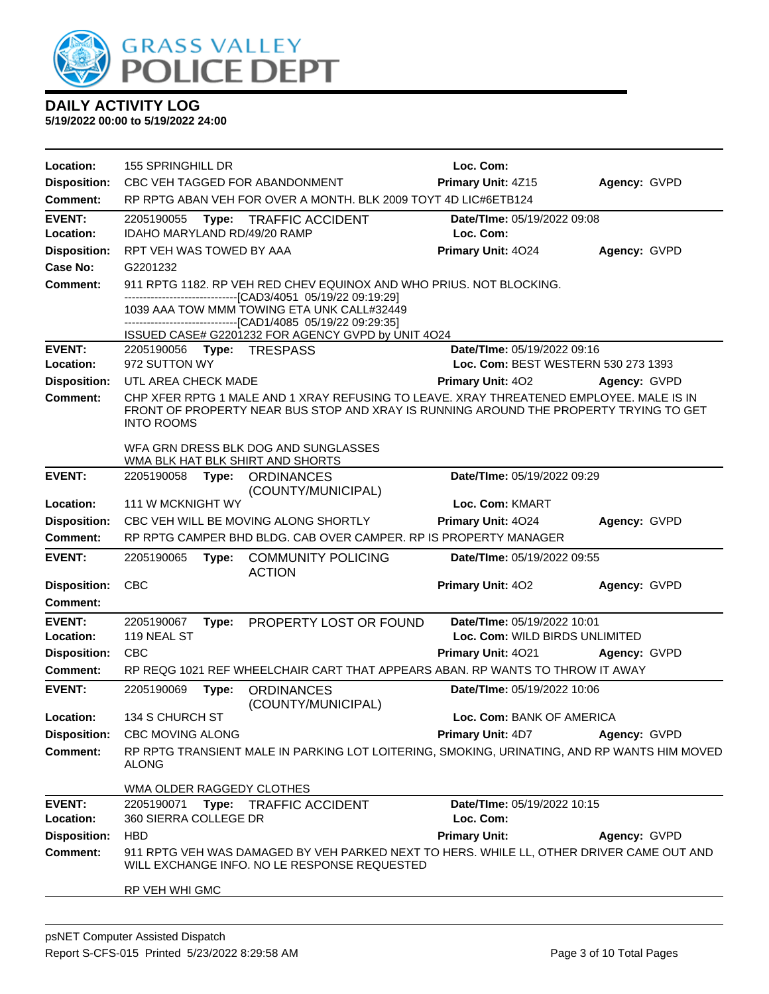

| Location:                              | 155 SPRINGHILL DR                                                                                                                        | Loc. Com:                           |              |
|----------------------------------------|------------------------------------------------------------------------------------------------------------------------------------------|-------------------------------------|--------------|
| <b>Disposition:</b>                    | CBC VEH TAGGED FOR ABANDONMENT                                                                                                           | Primary Unit: 4Z15                  | Agency: GVPD |
| <b>Comment:</b>                        | RP RPTG ABAN VEH FOR OVER A MONTH. BLK 2009 TOYT 4D LIC#6ETB124                                                                          |                                     |              |
| <b>EVENT:</b>                          | 2205190055<br>Type:<br><b>TRAFFIC ACCIDENT</b>                                                                                           | Date/TIme: 05/19/2022 09:08         |              |
| Location:                              | IDAHO MARYLAND RD/49/20 RAMP                                                                                                             | Loc. Com:                           |              |
| <b>Disposition:</b>                    | RPT VEH WAS TOWED BY AAA                                                                                                                 | Primary Unit: 4024                  | Agency: GVPD |
| <b>Case No:</b>                        | G2201232                                                                                                                                 |                                     |              |
| Comment:                               | 911 RPTG 1182. RP VEH RED CHEV EQUINOX AND WHO PRIUS. NOT BLOCKING.                                                                      |                                     |              |
|                                        | --------------------------------[CAD3/4051 05/19/22 09:19:29]<br>1039 AAA TOW MMM TOWING ETA UNK CALL#32449                              |                                     |              |
|                                        | --------------------[CAD1/4085 05/19/22 09:29:35]                                                                                        |                                     |              |
|                                        | ISSUED CASE# G2201232 FOR AGENCY GVPD by UNIT 4O24                                                                                       |                                     |              |
| <b>EVENT:</b>                          | Type: TRESPASS<br>2205190056<br>972 SUTTON WY                                                                                            | Date/TIme: 05/19/2022 09:16         |              |
| Location:                              | UTL AREA CHECK MADE                                                                                                                      | Loc. Com: BEST WESTERN 530 273 1393 |              |
| <b>Disposition:</b><br><b>Comment:</b> | CHP XFER RPTG 1 MALE AND 1 XRAY REFUSING TO LEAVE. XRAY THREATENED EMPLOYEE. MALE IS IN                                                  | Primary Unit: 402                   | Agency: GVPD |
|                                        | FRONT OF PROPERTY NEAR BUS STOP AND XRAY IS RUNNING AROUND THE PROPERTY TRYING TO GET                                                    |                                     |              |
|                                        | <b>INTO ROOMS</b>                                                                                                                        |                                     |              |
|                                        | WFA GRN DRESS BLK DOG AND SUNGLASSES                                                                                                     |                                     |              |
|                                        | WMA BLK HAT BLK SHIRT AND SHORTS                                                                                                         |                                     |              |
| <b>EVENT:</b>                          | 2205190058<br>Type:<br><b>ORDINANCES</b><br>(COUNTY/MUNICIPAL)                                                                           | Date/TIme: 05/19/2022 09:29         |              |
| Location:                              | 111 W MCKNIGHT WY                                                                                                                        | Loc. Com: KMART                     |              |
| <b>Disposition:</b>                    | CBC VEH WILL BE MOVING ALONG SHORTLY                                                                                                     | Primary Unit: 4024                  | Agency: GVPD |
| Comment:                               | RP RPTG CAMPER BHD BLDG. CAB OVER CAMPER. RP IS PROPERTY MANAGER                                                                         |                                     |              |
| <b>EVENT:</b>                          | 2205190065<br><b>COMMUNITY POLICING</b><br>Type:<br><b>ACTION</b>                                                                        | Date/TIme: 05/19/2022 09:55         |              |
| <b>Disposition:</b>                    | <b>CBC</b>                                                                                                                               | Primary Unit: 402                   | Agency: GVPD |
| <b>Comment:</b>                        |                                                                                                                                          |                                     |              |
| <b>EVENT:</b>                          | PROPERTY LOST OR FOUND<br>2205190067<br>Type:                                                                                            | Date/TIme: 05/19/2022 10:01         |              |
| Location:                              | 119 NEAL ST                                                                                                                              | Loc. Com: WILD BIRDS UNLIMITED      |              |
| <b>Disposition:</b>                    | <b>CBC</b>                                                                                                                               | Primary Unit: 4021                  | Agency: GVPD |
| <b>Comment:</b>                        | RP REQG 1021 REF WHEELCHAIR CART THAT APPEARS ABAN. RP WANTS TO THROW IT AWAY                                                            |                                     |              |
| <b>EVENT:</b>                          | 2205190069<br><b>ORDINANCES</b><br>Type:<br>(COUNTY/MUNICIPAL)                                                                           | Date/TIme: 05/19/2022 10:06         |              |
| Location:                              | 134 S CHURCH ST                                                                                                                          | Loc. Com: BANK OF AMERICA           |              |
| <b>Disposition:</b>                    | <b>CBC MOVING ALONG</b>                                                                                                                  | Primary Unit: 4D7                   | Agency: GVPD |
| <b>Comment:</b>                        | RP RPTG TRANSIENT MALE IN PARKING LOT LOITERING, SMOKING, URINATING, AND RP WANTS HIM MOVED<br>ALONG                                     |                                     |              |
|                                        | WMA OLDER RAGGEDY CLOTHES                                                                                                                |                                     |              |
| <b>EVENT:</b>                          | 2205190071<br>Type: TRAFFIC ACCIDENT                                                                                                     | Date/TIme: 05/19/2022 10:15         |              |
| Location:                              | 360 SIERRA COLLEGE DR                                                                                                                    | Loc. Com:                           |              |
| <b>Disposition:</b>                    | <b>HBD</b>                                                                                                                               | <b>Primary Unit:</b>                | Agency: GVPD |
| Comment:                               | 911 RPTG VEH WAS DAMAGED BY VEH PARKED NEXT TO HERS. WHILE LL, OTHER DRIVER CAME OUT AND<br>WILL EXCHANGE INFO. NO LE RESPONSE REQUESTED |                                     |              |
|                                        | RP VEH WHI GMC                                                                                                                           |                                     |              |
|                                        |                                                                                                                                          |                                     |              |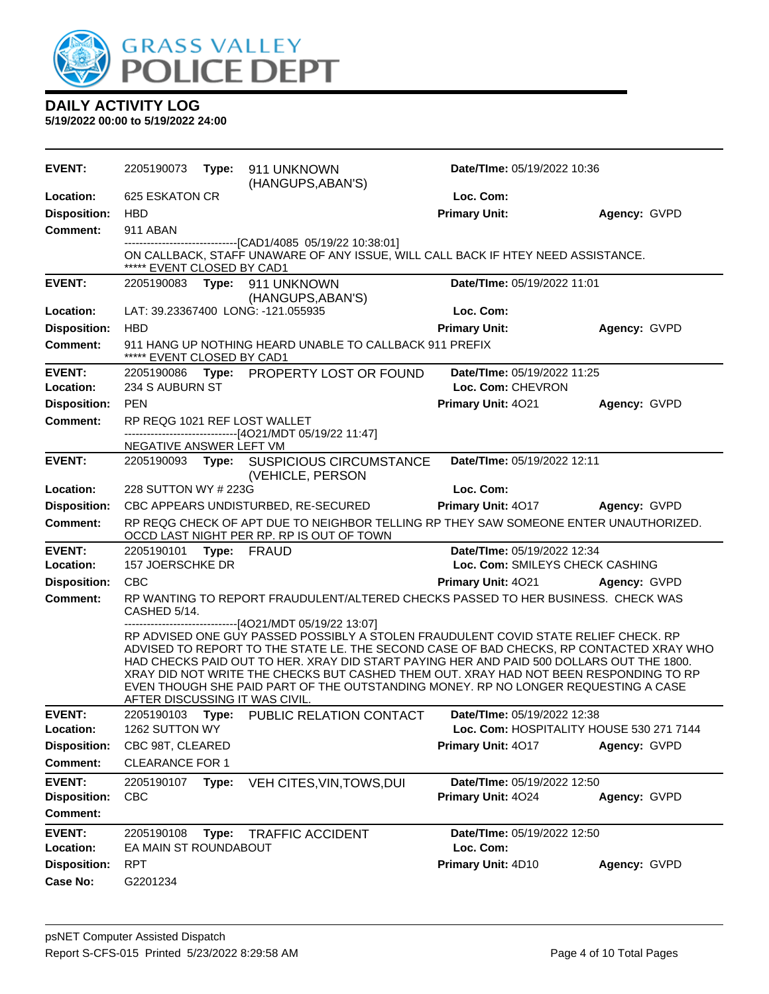

| <b>EVENT:</b>                          | 2205190073                                              | Type: | 911 UNKNOWN<br>(HANGUPS, ABAN'S)                                                                                                                                                                                                                                                                                                                                                                                                                          | Date/TIme: 05/19/2022 10:36                       |              |
|----------------------------------------|---------------------------------------------------------|-------|-----------------------------------------------------------------------------------------------------------------------------------------------------------------------------------------------------------------------------------------------------------------------------------------------------------------------------------------------------------------------------------------------------------------------------------------------------------|---------------------------------------------------|--------------|
| Location:                              | 625 ESKATON CR                                          |       |                                                                                                                                                                                                                                                                                                                                                                                                                                                           | Loc. Com:                                         |              |
| <b>Disposition:</b>                    | <b>HBD</b>                                              |       |                                                                                                                                                                                                                                                                                                                                                                                                                                                           | <b>Primary Unit:</b>                              | Agency: GVPD |
| <b>Comment:</b>                        | 911 ABAN                                                |       |                                                                                                                                                                                                                                                                                                                                                                                                                                                           |                                                   |              |
|                                        | ***** EVENT CLOSED BY CAD1                              |       | -------------------------------[CAD1/4085 05/19/22 10:38:01]<br>ON CALLBACK, STAFF UNAWARE OF ANY ISSUE, WILL CALL BACK IF HTEY NEED ASSISTANCE.                                                                                                                                                                                                                                                                                                          |                                                   |              |
| <b>EVENT:</b>                          |                                                         |       | 2205190083 Type: 911 UNKNOWN<br>(HANGUPS, ABAN'S)                                                                                                                                                                                                                                                                                                                                                                                                         | Date/TIme: 05/19/2022 11:01                       |              |
| Location:                              |                                                         |       | LAT: 39.23367400 LONG: -121.055935                                                                                                                                                                                                                                                                                                                                                                                                                        | Loc. Com:                                         |              |
| <b>Disposition:</b>                    | <b>HBD</b>                                              |       |                                                                                                                                                                                                                                                                                                                                                                                                                                                           | <b>Primary Unit:</b>                              | Agency: GVPD |
| <b>Comment:</b>                        | EVENT CLOSED BY CAD1                                    |       | 911 HANG UP NOTHING HEARD UNABLE TO CALLBACK 911 PREFIX                                                                                                                                                                                                                                                                                                                                                                                                   |                                                   |              |
| <b>EVENT:</b>                          |                                                         |       | 2205190086 Type: PROPERTY LOST OR FOUND                                                                                                                                                                                                                                                                                                                                                                                                                   | Date/TIme: 05/19/2022 11:25                       |              |
| Location:                              | 234 S AUBURN ST                                         |       |                                                                                                                                                                                                                                                                                                                                                                                                                                                           | Loc. Com: CHEVRON                                 |              |
| <b>Disposition:</b>                    | <b>PEN</b>                                              |       |                                                                                                                                                                                                                                                                                                                                                                                                                                                           | Primary Unit: 4021                                | Agency: GVPD |
| <b>Comment:</b>                        | RP REQG 1021 REF LOST WALLET<br>NEGATIVE ANSWER LEFT VM |       | ------------------------[4O21/MDT 05/19/22 11:47]                                                                                                                                                                                                                                                                                                                                                                                                         |                                                   |              |
| <b>EVENT:</b>                          |                                                         |       | 2205190093 Type: SUSPICIOUS CIRCUMSTANCE                                                                                                                                                                                                                                                                                                                                                                                                                  | Date/TIme: 05/19/2022 12:11                       |              |
|                                        |                                                         |       | (VEHICLE, PERSON                                                                                                                                                                                                                                                                                                                                                                                                                                          |                                                   |              |
| Location:                              | 228 SUTTON WY # 223G                                    |       |                                                                                                                                                                                                                                                                                                                                                                                                                                                           | Loc. Com:                                         |              |
| <b>Disposition:</b>                    |                                                         |       | CBC APPEARS UNDISTURBED, RE-SECURED                                                                                                                                                                                                                                                                                                                                                                                                                       | Primary Unit: 4017                                | Agency: GVPD |
| <b>Comment:</b>                        |                                                         |       | RP REQG CHECK OF APT DUE TO NEIGHBOR TELLING RP THEY SAW SOMEONE ENTER UNAUTHORIZED.<br>OCCD LAST NIGHT PER RP. RP IS OUT OF TOWN                                                                                                                                                                                                                                                                                                                         |                                                   |              |
| <b>EVENT:</b>                          | 2205190101                                              |       | Type: FRAUD                                                                                                                                                                                                                                                                                                                                                                                                                                               | Date/TIme: 05/19/2022 12:34                       |              |
| Location:                              | 157 JOERSCHKE DR                                        |       |                                                                                                                                                                                                                                                                                                                                                                                                                                                           | Loc. Com: SMILEYS CHECK CASHING                   |              |
| <b>Disposition:</b>                    | <b>CBC</b>                                              |       |                                                                                                                                                                                                                                                                                                                                                                                                                                                           | Primary Unit: 4021                                | Agency: GVPD |
| <b>Comment:</b>                        | CASHED 5/14.                                            |       | RP WANTING TO REPORT FRAUDULENT/ALTERED CHECKS PASSED TO HER BUSINESS. CHECK WAS<br>-----------------[4O21/MDT 05/19/22 13:07]                                                                                                                                                                                                                                                                                                                            |                                                   |              |
|                                        | AFTER DISCUSSING IT WAS CIVIL.                          |       | RP ADVISED ONE GUY PASSED POSSIBLY A STOLEN FRAUDULENT COVID STATE RELIEF CHECK. RP<br>ADVISED TO REPORT TO THE STATE LE. THE SECOND CASE OF BAD CHECKS, RP CONTACTED XRAY WHO<br>HAD CHECKS PAID OUT TO HER. XRAY DID START PAYING HER AND PAID 500 DOLLARS OUT THE 1800.<br>XRAY DID NOT WRITE THE CHECKS BUT CASHED THEM OUT. XRAY HAD NOT BEEN RESPONDING TO RP<br>EVEN THOUGH SHE PAID PART OF THE OUTSTANDING MONEY. RP NO LONGER REQUESTING A CASE |                                                   |              |
| <b>EVENT:</b>                          |                                                         |       | 2205190103 Type: PUBLIC RELATION CONTACT                                                                                                                                                                                                                                                                                                                                                                                                                  | <b>Date/TIme: 05/19/2022 12:38</b>                |              |
| Location:                              | 1262 SUTTON WY                                          |       |                                                                                                                                                                                                                                                                                                                                                                                                                                                           | Loc. Com: HOSPITALITY HOUSE 530 271 7144          |              |
| <b>Disposition:</b>                    | CBC 98T, CLEARED                                        |       |                                                                                                                                                                                                                                                                                                                                                                                                                                                           | <b>Primary Unit: 4017</b>                         | Agency: GVPD |
| <b>Comment:</b>                        | <b>CLEARANCE FOR 1</b>                                  |       |                                                                                                                                                                                                                                                                                                                                                                                                                                                           |                                                   |              |
| <b>EVENT:</b>                          | 2205190107<br><b>CBC</b>                                | Type: | VEH CITES, VIN, TOWS, DUI                                                                                                                                                                                                                                                                                                                                                                                                                                 | Date/TIme: 05/19/2022 12:50<br>Primary Unit: 4024 |              |
| <b>Disposition:</b><br><b>Comment:</b> |                                                         |       |                                                                                                                                                                                                                                                                                                                                                                                                                                                           |                                                   | Agency: GVPD |
|                                        |                                                         |       |                                                                                                                                                                                                                                                                                                                                                                                                                                                           |                                                   |              |
| <b>EVENT:</b><br>Location:             | 2205190108<br>EA MAIN ST ROUNDABOUT                     | Type: | <b>TRAFFIC ACCIDENT</b>                                                                                                                                                                                                                                                                                                                                                                                                                                   | Date/TIme: 05/19/2022 12:50<br>Loc. Com:          |              |
| <b>Disposition:</b>                    | <b>RPT</b>                                              |       |                                                                                                                                                                                                                                                                                                                                                                                                                                                           | Primary Unit: 4D10                                | Agency: GVPD |
| Case No:                               | G2201234                                                |       |                                                                                                                                                                                                                                                                                                                                                                                                                                                           |                                                   |              |
|                                        |                                                         |       |                                                                                                                                                                                                                                                                                                                                                                                                                                                           |                                                   |              |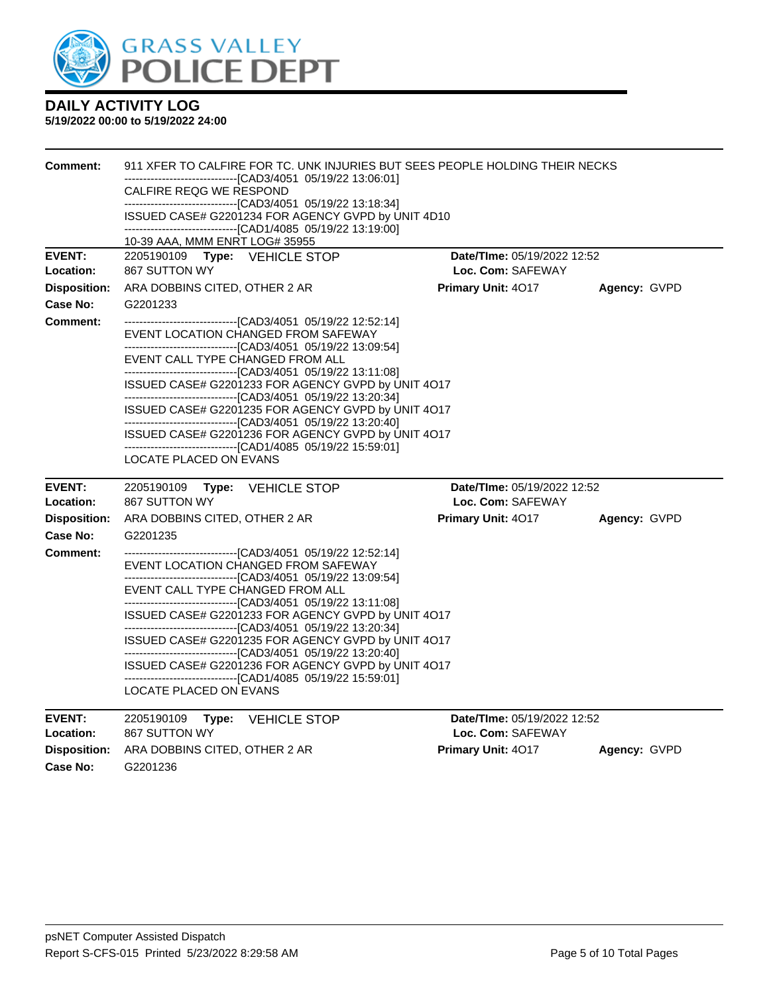

#### **5/19/2022 00:00 to 5/19/2022 24:00**

| <b>Comment:</b>     | 911 XFER TO CALFIRE FOR TC. UNK INJURIES BUT SEES PEOPLE HOLDING THEIR NECKS                                       |                             |              |
|---------------------|--------------------------------------------------------------------------------------------------------------------|-----------------------------|--------------|
|                     | -------------------------------[CAD3/4051_05/19/22 13:06:01]                                                       |                             |              |
|                     | CALFIRE REQG WE RESPOND<br>-------------------------------[CAD3/4051_05/19/22 13:18:34]                            |                             |              |
|                     | ISSUED CASE# G2201234 FOR AGENCY GVPD by UNIT 4D10                                                                 |                             |              |
|                     | ------------------------------[CAD1/4085 05/19/22 13:19:00]<br>10-39 AAA, MMM ENRT LOG# 35955                      |                             |              |
| <b>EVENT:</b>       | 2205190109 Type: VEHICLE STOP                                                                                      | Date/TIme: 05/19/2022 12:52 |              |
| Location:           | 867 SUTTON WY                                                                                                      | Loc. Com: SAFEWAY           |              |
| <b>Disposition:</b> | ARA DOBBINS CITED, OTHER 2 AR                                                                                      | Primary Unit: 4017          | Agency: GVPD |
| Case No:            | G2201233                                                                                                           |                             |              |
| <b>Comment:</b>     | ------------------------------[CAD3/4051 05/19/22 12:52:14]                                                        |                             |              |
|                     | EVENT LOCATION CHANGED FROM SAFEWAY                                                                                |                             |              |
|                     | --------------------------------[CAD3/4051 05/19/22 13:09:54]<br>EVENT CALL TYPE CHANGED FROM ALL                  |                             |              |
|                     | --------------------------------[CAD3/4051_05/19/22 13:11:08]                                                      |                             |              |
|                     | ISSUED CASE# G2201233 FOR AGENCY GVPD by UNIT 4O17                                                                 |                             |              |
|                     | ------------------------------[CAD3/4051 05/19/22 13:20:34]<br>ISSUED CASE# G2201235 FOR AGENCY GVPD by UNIT 4O17  |                             |              |
|                     | -------------------------------[CAD3/4051_05/19/22 13:20:40]                                                       |                             |              |
|                     | ISSUED CASE# G2201236 FOR AGENCY GVPD by UNIT 4O17                                                                 |                             |              |
|                     | ---------------------------------[CAD1/4085_05/19/22_15:59:01]<br>LOCATE PLACED ON EVANS                           |                             |              |
|                     |                                                                                                                    |                             |              |
| <b>EVENT:</b>       | 2205190109<br>Type:<br>VEHICLE STOP                                                                                | Date/TIme: 05/19/2022 12:52 |              |
| Location:           | 867 SUTTON WY                                                                                                      | Loc. Com: SAFEWAY           |              |
| <b>Disposition:</b> | ARA DOBBINS CITED, OTHER 2 AR                                                                                      | Primary Unit: 4017          | Agency: GVPD |
| Case No:            | G2201235                                                                                                           |                             |              |
| <b>Comment:</b>     | ---------------------------------[CAD3/4051_05/19/22 12:52:14]                                                     |                             |              |
|                     | EVENT LOCATION CHANGED FROM SAFEWAY<br>-------------------------------[CAD3/4051_05/19/22 13:09:54]                |                             |              |
|                     | EVENT CALL TYPE CHANGED FROM ALL                                                                                   |                             |              |
|                     | -------------------------------[CAD3/4051 05/19/22 13:11:08]                                                       |                             |              |
|                     | ISSUED CASE# G2201233 FOR AGENCY GVPD by UNIT 4O17<br>-------------------------------[CAD3/4051_05/19/22 13:20:34] |                             |              |
|                     | ISSUED CASE# G2201235 FOR AGENCY GVPD by UNIT 4O17                                                                 |                             |              |
|                     | -------------------------------[CAD3/4051 05/19/22 13:20:40]<br>ISSUED CASE# G2201236 FOR AGENCY GVPD by UNIT 4O17 |                             |              |
|                     | -------------------------------[CAD1/4085 05/19/22 15:59:01]                                                       |                             |              |
|                     | LOCATE PLACED ON EVANS                                                                                             |                             |              |
| <b>EVENT:</b>       | 2205190109<br><b>VEHICLE STOP</b><br>Type:                                                                         | Date/TIme: 05/19/2022 12:52 |              |
| Location:           | 867 SUTTON WY                                                                                                      | Loc. Com: SAFEWAY           |              |
| Disposition:        | ARA DOBBINS CITED, OTHER 2 AR                                                                                      | Primary Unit: 4017          | Agency: GVPD |

**Case No:** G2201236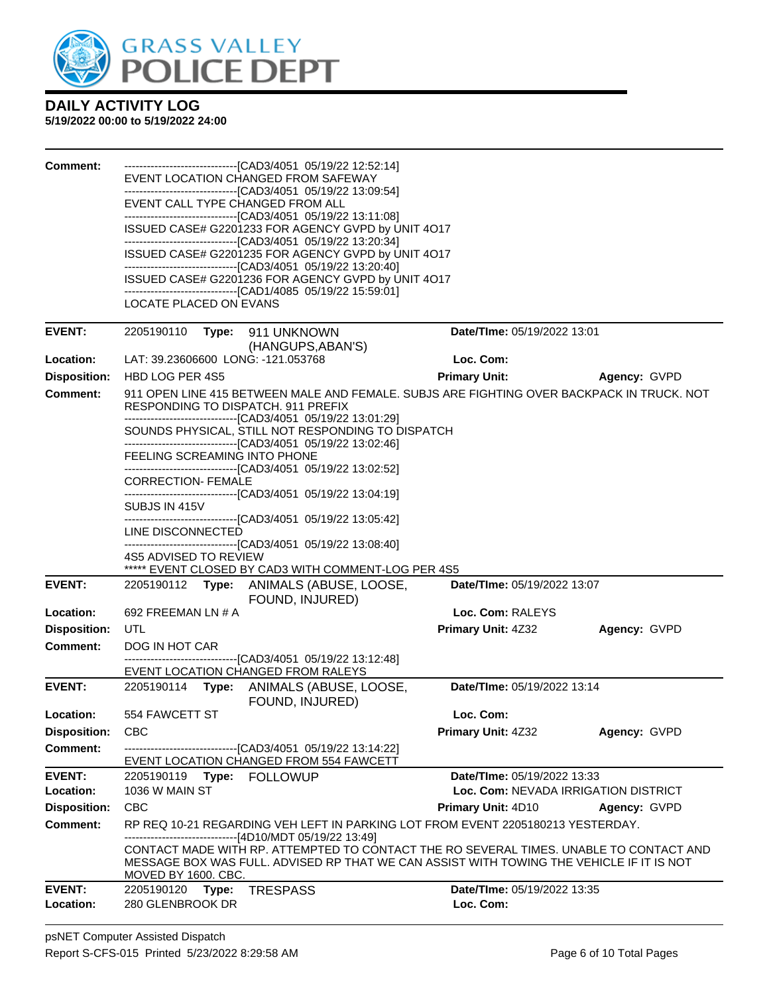

| Comment:            | <b>LOCATE PLACED ON EVANS</b>                                                            | --------------------------------[CAD3/4051 05/19/22 12:52:14]<br>EVENT LOCATION CHANGED FROM SAFEWAY<br>--------------------------------[CAD3/4051_05/19/22 13:09:54]<br>EVENT CALL TYPE CHANGED FROM ALL<br>--------------------------------[CAD3/4051_05/19/22 13:11:08]<br>ISSUED CASE# G2201233 FOR AGENCY GVPD by UNIT 4O17<br>-------------------------------[CAD3/4051 05/19/22 13:20:34]<br>ISSUED CASE# G2201235 FOR AGENCY GVPD by UNIT 4O17<br>-------------------------------[CAD3/4051 05/19/22 13:20:40]<br>ISSUED CASE# G2201236 FOR AGENCY GVPD by UNIT 4O17<br>-------------------------------[CAD1/4085 05/19/22 15:59:01] |                                      |              |
|---------------------|------------------------------------------------------------------------------------------|----------------------------------------------------------------------------------------------------------------------------------------------------------------------------------------------------------------------------------------------------------------------------------------------------------------------------------------------------------------------------------------------------------------------------------------------------------------------------------------------------------------------------------------------------------------------------------------------------------------------------------------------|--------------------------------------|--------------|
| <b>EVENT:</b>       | 2205190110 Type: 911 UNKNOWN                                                             | (HANGUPS, ABAN'S)                                                                                                                                                                                                                                                                                                                                                                                                                                                                                                                                                                                                                            | Date/TIme: 05/19/2022 13:01          |              |
| Location:           | LAT: 39.23606600 LONG: -121.053768                                                       |                                                                                                                                                                                                                                                                                                                                                                                                                                                                                                                                                                                                                                              | Loc. Com:                            |              |
| <b>Disposition:</b> | HBD LOG PER 4S5                                                                          |                                                                                                                                                                                                                                                                                                                                                                                                                                                                                                                                                                                                                                              | <b>Primary Unit:</b>                 | Agency: GVPD |
| <b>Comment:</b>     | FEELING SCREAMING INTO PHONE                                                             | 911 OPEN LINE 415 BETWEEN MALE AND FEMALE. SUBJS ARE FIGHTING OVER BACKPACK IN TRUCK. NOT<br><b>RESPONDING TO DISPATCH, 911 PREFIX</b><br>---------------------------------[CAD3/4051_05/19/22 13:01:29]<br>SOUNDS PHYSICAL, STILL NOT RESPONDING TO DISPATCH<br>-------------------------------[CAD3/4051 05/19/22 13:02:46]                                                                                                                                                                                                                                                                                                                |                                      |              |
|                     | <b>CORRECTION- FEMALE</b><br>SUBJS IN 415V<br>LINE DISCONNECTED<br>4S5 ADVISED TO REVIEW | -------------------------------[CAD3/4051 05/19/22 13:02:52]<br>---------------------------------[CAD3/4051_05/19/22_13:04:19]<br>---------------------------------[CAD3/4051_05/19/22 13:05:42]<br>-------------------------------[CAD3/4051 05/19/22 13:08:40]<br>***** EVENT CLOSED BY CAD3 WITH COMMENT-LOG PER 4S5                                                                                                                                                                                                                                                                                                                      |                                      |              |
| <b>EVENT:</b>       |                                                                                          | 2205190112 Type: ANIMALS (ABUSE, LOOSE,<br>FOUND, INJURED)                                                                                                                                                                                                                                                                                                                                                                                                                                                                                                                                                                                   | Date/TIme: 05/19/2022 13:07          |              |
| Location:           | 692 FREEMAN LN # A                                                                       |                                                                                                                                                                                                                                                                                                                                                                                                                                                                                                                                                                                                                                              | Loc. Com: RALEYS                     |              |
| <b>Disposition:</b> | UTL                                                                                      |                                                                                                                                                                                                                                                                                                                                                                                                                                                                                                                                                                                                                                              | Primary Unit: 4Z32                   | Agency: GVPD |
| <b>Comment:</b>     | DOG IN HOT CAR                                                                           |                                                                                                                                                                                                                                                                                                                                                                                                                                                                                                                                                                                                                                              |                                      |              |
|                     |                                                                                          | --------------------------------[CAD3/4051_05/19/22 13:12:48]                                                                                                                                                                                                                                                                                                                                                                                                                                                                                                                                                                                |                                      |              |
|                     |                                                                                          | EVENT LOCATION CHANGED FROM RALEYS                                                                                                                                                                                                                                                                                                                                                                                                                                                                                                                                                                                                           |                                      |              |
| <b>EVENT:</b>       |                                                                                          | 2205190114 Type: ANIMALS (ABUSE, LOOSE,<br>FOUND, INJURED)                                                                                                                                                                                                                                                                                                                                                                                                                                                                                                                                                                                   | Date/TIme: 05/19/2022 13:14          |              |
| Location:           | 554 FAWCETT ST                                                                           |                                                                                                                                                                                                                                                                                                                                                                                                                                                                                                                                                                                                                                              | Loc. Com:                            |              |
| <b>Disposition:</b> | <b>CBC</b>                                                                               |                                                                                                                                                                                                                                                                                                                                                                                                                                                                                                                                                                                                                                              | <b>Primary Unit: 4Z32</b>            | Agency: GVPD |
| <b>Comment:</b>     |                                                                                          | -------------------------------[CAD3/4051_05/19/22 13:14:22]<br>EVENT LOCATION CHANGED FROM 554 FAWCETT                                                                                                                                                                                                                                                                                                                                                                                                                                                                                                                                      |                                      |              |
| <b>EVENT:</b>       |                                                                                          |                                                                                                                                                                                                                                                                                                                                                                                                                                                                                                                                                                                                                                              | Date/TIme: 05/19/2022 13:33          |              |
| Location:           | 1036 W MAIN ST                                                                           |                                                                                                                                                                                                                                                                                                                                                                                                                                                                                                                                                                                                                                              | Loc. Com: NEVADA IRRIGATION DISTRICT |              |
| <b>Disposition:</b> | <b>CBC</b>                                                                               |                                                                                                                                                                                                                                                                                                                                                                                                                                                                                                                                                                                                                                              | <b>Primary Unit: 4D10</b>            | Agency: GVPD |
| <b>Comment:</b>     | MOVED BY 1600. CBC.                                                                      | RP REQ 10-21 REGARDING VEH LEFT IN PARKING LOT FROM EVENT 2205180213 YESTERDAY.<br>-------------------------------[4D10/MDT 05/19/22 13:49]<br>CONTACT MADE WITH RP. ATTEMPTED TO CONTACT THE RO SEVERAL TIMES. UNABLE TO CONTACT AND<br>MESSAGE BOX WAS FULL. ADVISED RP THAT WE CAN ASSIST WITH TOWING THE VEHICLE IF IT IS NOT                                                                                                                                                                                                                                                                                                            |                                      |              |
| <b>EVENT:</b>       | 2205190120<br>Type:                                                                      | <b>TRESPASS</b>                                                                                                                                                                                                                                                                                                                                                                                                                                                                                                                                                                                                                              | Date/TIme: 05/19/2022 13:35          |              |
| Location:           | 280 GLENBROOK DR                                                                         |                                                                                                                                                                                                                                                                                                                                                                                                                                                                                                                                                                                                                                              | Loc. Com:                            |              |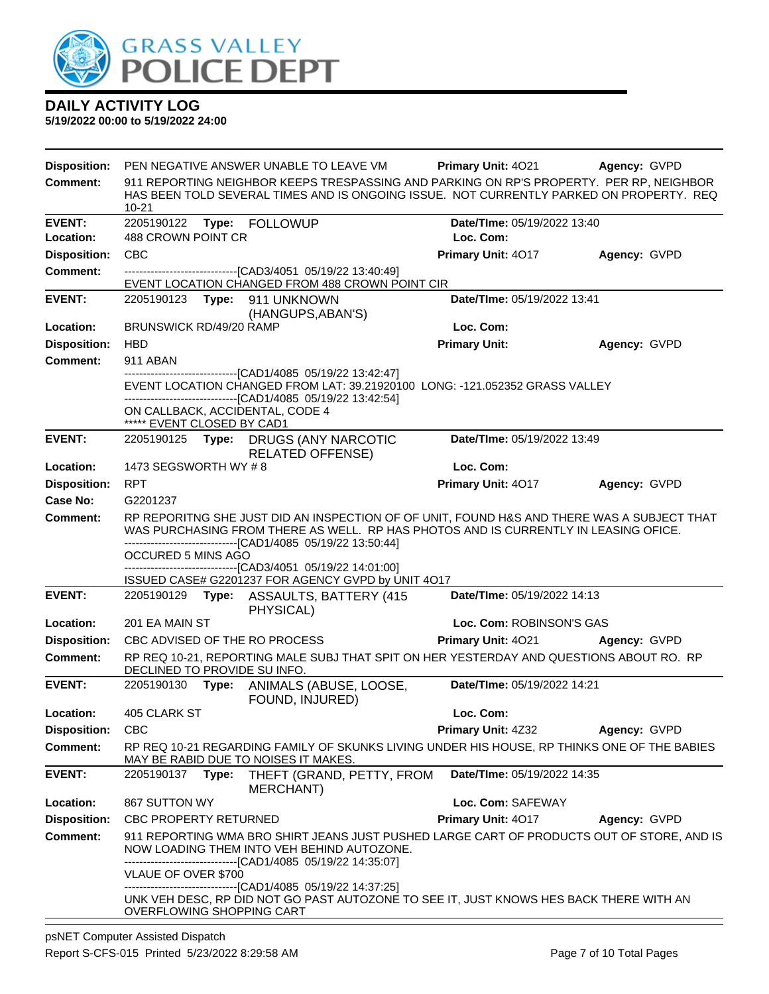

| <b>Disposition:</b>                    |                              |       | PEN NEGATIVE ANSWER UNABLE TO LEAVE VM                                                                                                                                                                                                             | <b>Primary Unit: 4021</b>   | Agency: GVPD |
|----------------------------------------|------------------------------|-------|----------------------------------------------------------------------------------------------------------------------------------------------------------------------------------------------------------------------------------------------------|-----------------------------|--------------|
| <b>Comment:</b>                        | $10 - 21$                    |       | 911 REPORTING NEIGHBOR KEEPS TRESPASSING AND PARKING ON RP'S PROPERTY. PER RP, NEIGHBOR<br>HAS BEEN TOLD SEVERAL TIMES AND IS ONGOING ISSUE. NOT CURRENTLY PARKED ON PROPERTY. REQ                                                                 |                             |              |
| <b>EVENT:</b>                          | 2205190122                   |       | Type: FOLLOWUP                                                                                                                                                                                                                                     | Date/TIme: 05/19/2022 13:40 |              |
| Location:                              | 488 CROWN POINT CR           |       |                                                                                                                                                                                                                                                    | Loc. Com:                   |              |
| <b>Disposition:</b><br><b>Comment:</b> | <b>CBC</b>                   |       |                                                                                                                                                                                                                                                    | Primary Unit: 4017          | Agency: GVPD |
|                                        |                              |       | -------------------------------[CAD3/4051 05/19/22 13:40:49]<br>EVENT LOCATION CHANGED FROM 488 CROWN POINT CIR                                                                                                                                    |                             |              |
| <b>EVENT:</b>                          |                              |       | 2205190123 Type: 911 UNKNOWN<br>(HANGUPS, ABAN'S)                                                                                                                                                                                                  | Date/TIme: 05/19/2022 13:41 |              |
| Location:                              | BRUNSWICK RD/49/20 RAMP      |       |                                                                                                                                                                                                                                                    | Loc. Com:                   |              |
| <b>Disposition:</b>                    | <b>HBD</b>                   |       |                                                                                                                                                                                                                                                    | <b>Primary Unit:</b>        | Agency: GVPD |
| <b>Comment:</b>                        | 911 ABAN                     |       |                                                                                                                                                                                                                                                    |                             |              |
|                                        |                              |       | -----------------------[CAD1/4085 05/19/22 13:42:47]<br>EVENT LOCATION CHANGED FROM LAT: 39.21920100 LONG: -121.052352 GRASS VALLEY<br>--------------------------------[CAD1/4085 05/19/22 13:42:54]                                               |                             |              |
|                                        | ***** EVENT CLOSED BY CAD1   |       | ON CALLBACK, ACCIDENTAL, CODE 4                                                                                                                                                                                                                    |                             |              |
| <b>EVENT:</b>                          |                              |       | 2205190125 Type: DRUGS (ANY NARCOTIC<br><b>RELATED OFFENSE)</b>                                                                                                                                                                                    | Date/TIme: 05/19/2022 13:49 |              |
| Location:                              | 1473 SEGSWORTH WY #8         |       |                                                                                                                                                                                                                                                    | Loc. Com:                   |              |
| <b>Disposition:</b>                    | <b>RPT</b>                   |       |                                                                                                                                                                                                                                                    | Primary Unit: 4017          | Agency: GVPD |
| Case No:                               | G2201237                     |       |                                                                                                                                                                                                                                                    |                             |              |
| Comment:                               |                              |       | RP REPORITNG SHE JUST DID AN INSPECTION OF OF UNIT, FOUND H&S AND THERE WAS A SUBJECT THAT<br>WAS PURCHASING FROM THERE AS WELL. RP HAS PHOTOS AND IS CURRENTLY IN LEASING OFICE.<br>--------------------------------[CAD1/4085 05/19/22 13:50:44] |                             |              |
|                                        | OCCURED 5 MINS AGO           |       | -------------------------------[CAD3/4051 05/19/22 14:01:00]                                                                                                                                                                                       |                             |              |
|                                        |                              |       | ISSUED CASE# G2201237 FOR AGENCY GVPD by UNIT 4O17                                                                                                                                                                                                 |                             |              |
| <b>EVENT:</b>                          |                              |       | 2205190129 Type: ASSAULTS, BATTERY (415<br>PHYSICAL)                                                                                                                                                                                               | Date/TIme: 05/19/2022 14:13 |              |
| Location:                              | 201 EA MAIN ST               |       |                                                                                                                                                                                                                                                    | Loc. Com: ROBINSON'S GAS    |              |
| <b>Disposition:</b>                    |                              |       | CBC ADVISED OF THE RO PROCESS                                                                                                                                                                                                                      | Primary Unit: 4021          | Agency: GVPD |
| Comment:                               | DECLINED TO PROVIDE SU INFO. |       | RP REQ 10-21, REPORTING MALE SUBJ THAT SPIT ON HER YESTERDAY AND QUESTIONS ABOUT RO. RP                                                                                                                                                            |                             |              |
| <b>EVENT:</b>                          |                              |       | 2205190130 Type: ANIMALS (ABUSE, LOOSE,<br>FOUND, INJURED)                                                                                                                                                                                         | Date/TIme: 05/19/2022 14:21 |              |
| Location:                              | 405 CLARK ST                 |       |                                                                                                                                                                                                                                                    | Loc. Com:                   |              |
| <b>Disposition:</b>                    | <b>CBC</b>                   |       |                                                                                                                                                                                                                                                    | <b>Primary Unit: 4Z32</b>   | Agency: GVPD |
| <b>Comment:</b>                        |                              |       | RP REQ 10-21 REGARDING FAMILY OF SKUNKS LIVING UNDER HIS HOUSE, RP THINKS ONE OF THE BABIES<br>MAY BE RABID DUE TO NOISES IT MAKES.                                                                                                                |                             |              |
| <b>EVENT:</b>                          | 2205190137                   | Type: | THEFT (GRAND, PETTY, FROM<br>MERCHANT)                                                                                                                                                                                                             | Date/TIme: 05/19/2022 14:35 |              |
| Location:                              | 867 SUTTON WY                |       |                                                                                                                                                                                                                                                    | Loc. Com: SAFEWAY           |              |
| <b>Disposition:</b>                    | <b>CBC PROPERTY RETURNED</b> |       |                                                                                                                                                                                                                                                    | <b>Primary Unit: 4017</b>   | Agency: GVPD |
| <b>Comment:</b>                        |                              |       | 911 REPORTING WMA BRO SHIRT JEANS JUST PUSHED LARGE CART OF PRODUCTS OUT OF STORE, AND IS<br>NOW LOADING THEM INTO VEH BEHIND AUTOZONE.                                                                                                            |                             |              |
|                                        | VLAUE OF OVER \$700          |       | --------------------------------[CAD1/4085 05/19/22 14:35:07]<br>-------------------------[CAD1/4085 05/19/22 14:37:25]                                                                                                                            |                             |              |
|                                        | OVERFLOWING SHOPPING CART    |       | UNK VEH DESC, RP DID NOT GO PAST AUTOZONE TO SEE IT, JUST KNOWS HES BACK THERE WITH AN                                                                                                                                                             |                             |              |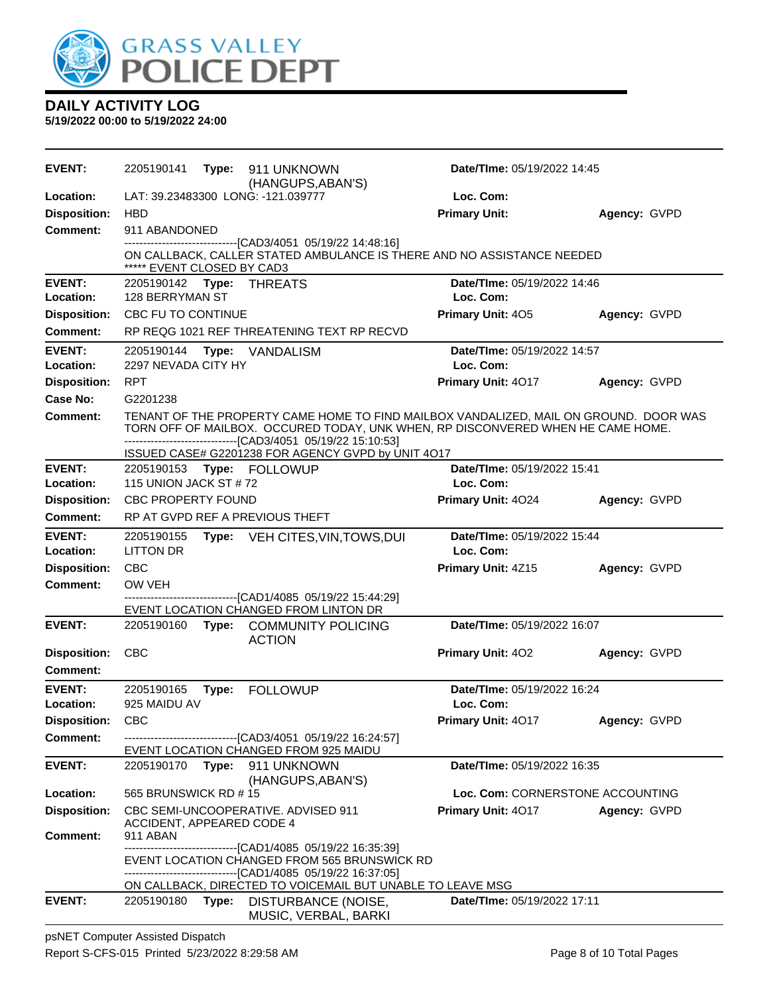

**5/19/2022 00:00 to 5/19/2022 24:00**

| <b>EVENT:</b>              | 2205190141                            |       | Type: 911 UNKNOWN<br>(HANGUPS, ABAN'S)                                                                                                                                                                                                    | Date/TIme: 05/19/2022 14:45              |              |
|----------------------------|---------------------------------------|-------|-------------------------------------------------------------------------------------------------------------------------------------------------------------------------------------------------------------------------------------------|------------------------------------------|--------------|
| Location:                  |                                       |       | LAT: 39.23483300 LONG: -121.039777                                                                                                                                                                                                        | Loc. Com:                                |              |
| <b>Disposition:</b>        | <b>HBD</b>                            |       |                                                                                                                                                                                                                                           | <b>Primary Unit:</b>                     | Agency: GVPD |
| <b>Comment:</b>            | 911 ABANDONED                         |       |                                                                                                                                                                                                                                           |                                          |              |
|                            | ***** EVENT CLOSED BY CAD3            |       | -------------------------------[CAD3/4051 05/19/22 14:48:16]<br>ON CALLBACK, CALLER STATED AMBULANCE IS THERE AND NO ASSISTANCE NEEDED                                                                                                    |                                          |              |
| <b>EVENT:</b>              | 2205190142 Type: THREATS              |       |                                                                                                                                                                                                                                           | Date/TIme: 05/19/2022 14:46              |              |
| Location:                  | 128 BERRYMAN ST                       |       |                                                                                                                                                                                                                                           | Loc. Com:                                |              |
| <b>Disposition:</b>        | CBC FU TO CONTINUE                    |       |                                                                                                                                                                                                                                           | <b>Primary Unit: 405</b>                 | Agency: GVPD |
| <b>Comment:</b>            |                                       |       | RP REQG 1021 REF THREATENING TEXT RP RECVD                                                                                                                                                                                                |                                          |              |
| <b>EVENT:</b>              | 2205190144 Type:                      |       | VANDALISM                                                                                                                                                                                                                                 | Date/TIme: 05/19/2022 14:57              |              |
| Location:                  | 2297 NEVADA CITY HY                   |       |                                                                                                                                                                                                                                           | Loc. Com:                                |              |
| <b>Disposition:</b>        | <b>RPT</b>                            |       |                                                                                                                                                                                                                                           | Primary Unit: 4017                       | Agency: GVPD |
| Case No:                   | G2201238                              |       |                                                                                                                                                                                                                                           |                                          |              |
| Comment:                   |                                       |       | TENANT OF THE PROPERTY CAME HOME TO FIND MAILBOX VANDALIZED, MAIL ON GROUND. DOOR WAS<br>TORN OFF OF MAILBOX. OCCURED TODAY, UNK WHEN, RP DISCONVERED WHEN HE CAME HOME.<br>--------------------------------[CAD3/4051 05/19/22 15:10:53] |                                          |              |
|                            |                                       |       | ISSUED CASE# G2201238 FOR AGENCY GVPD by UNIT 4O17                                                                                                                                                                                        |                                          |              |
| <b>EVENT:</b>              |                                       |       | 2205190153 Type: FOLLOWUP                                                                                                                                                                                                                 | Date/Time: 05/19/2022 15:41              |              |
| Location:                  | 115 UNION JACK ST #72                 |       |                                                                                                                                                                                                                                           | Loc. Com:                                |              |
| <b>Disposition:</b>        | <b>CBC PROPERTY FOUND</b>             |       |                                                                                                                                                                                                                                           | Primary Unit: 4024                       | Agency: GVPD |
| Comment:                   |                                       |       | RP AT GVPD REF A PREVIOUS THEFT                                                                                                                                                                                                           |                                          |              |
| <b>EVENT:</b><br>Location: | 2205190155<br><b>LITTON DR</b>        |       | Type: VEH CITES, VIN, TOWS, DUI                                                                                                                                                                                                           | Date/TIme: 05/19/2022 15:44<br>Loc. Com: |              |
| <b>Disposition:</b>        | <b>CBC</b>                            |       |                                                                                                                                                                                                                                           | <b>Primary Unit: 4Z15</b>                | Agency: GVPD |
| <b>Comment:</b>            | OW VEH                                |       |                                                                                                                                                                                                                                           |                                          |              |
|                            |                                       |       | ------------------[CAD1/4085 05/19/22 15:44:29]<br>EVENT LOCATION CHANGED FROM LINTON DR                                                                                                                                                  |                                          |              |
| <b>EVENT:</b>              | 2205190160                            |       | Type: COMMUNITY POLICING<br><b>ACTION</b>                                                                                                                                                                                                 | Date/TIme: 05/19/2022 16:07              |              |
| <b>Disposition:</b>        | <b>CBC</b>                            |       |                                                                                                                                                                                                                                           | Primary Unit: 402                        | Agency: GVPD |
| Comment:                   |                                       |       |                                                                                                                                                                                                                                           |                                          |              |
| <b>EVENT:</b>              | 2205190165                            | Type: | <b>FOLLOWUP</b>                                                                                                                                                                                                                           | Date/TIme: 05/19/2022 16:24              |              |
| Location:                  | 925 MAIDU AV                          |       |                                                                                                                                                                                                                                           | Loc. Com:                                |              |
| <b>Disposition:</b>        | CBC                                   |       |                                                                                                                                                                                                                                           | Primary Unit: 4017                       | Agency: GVPD |
| Comment:                   |                                       |       | -------------------------------[CAD3/4051 05/19/22 16:24:57]                                                                                                                                                                              |                                          |              |
|                            |                                       |       | EVENT LOCATION CHANGED FROM 925 MAIDU                                                                                                                                                                                                     |                                          |              |
| <b>EVENT:</b>              | 2205190170                            | Type: | 911 UNKNOWN<br>(HANGUPS, ABAN'S)                                                                                                                                                                                                          | Date/TIme: 05/19/2022 16:35              |              |
| Location:                  | 565 BRUNSWICK RD #15                  |       |                                                                                                                                                                                                                                           | Loc. Com: CORNERSTONE ACCOUNTING         |              |
| <b>Disposition:</b>        |                                       |       | CBC SEMI-UNCOOPERATIVE. ADVISED 911                                                                                                                                                                                                       | Primary Unit: 4017                       | Agency: GVPD |
| <b>Comment:</b>            | ACCIDENT, APPEARED CODE 4<br>911 ABAN |       |                                                                                                                                                                                                                                           |                                          |              |
|                            |                                       |       | --------------------------[CAD1/4085_05/19/22 16:35:39]<br>EVENT LOCATION CHANGED FROM 565 BRUNSWICK RD<br>--------------------------[CAD1/4085_05/19/22 16:37:05]                                                                        |                                          |              |
|                            |                                       |       | ON CALLBACK, DIRECTED TO VOICEMAIL BUT UNABLE TO LEAVE MSG                                                                                                                                                                                |                                          |              |
| <b>EVENT:</b>              | 2205190180                            | Type: | DISTURBANCE (NOISE,<br>MUSIC, VERBAL, BARKI                                                                                                                                                                                               | Date/TIme: 05/19/2022 17:11              |              |

psNET Computer Assisted Dispatch Report S-CFS-015 Printed 5/23/2022 8:29:58 AM Page 8 of 10 Total Pages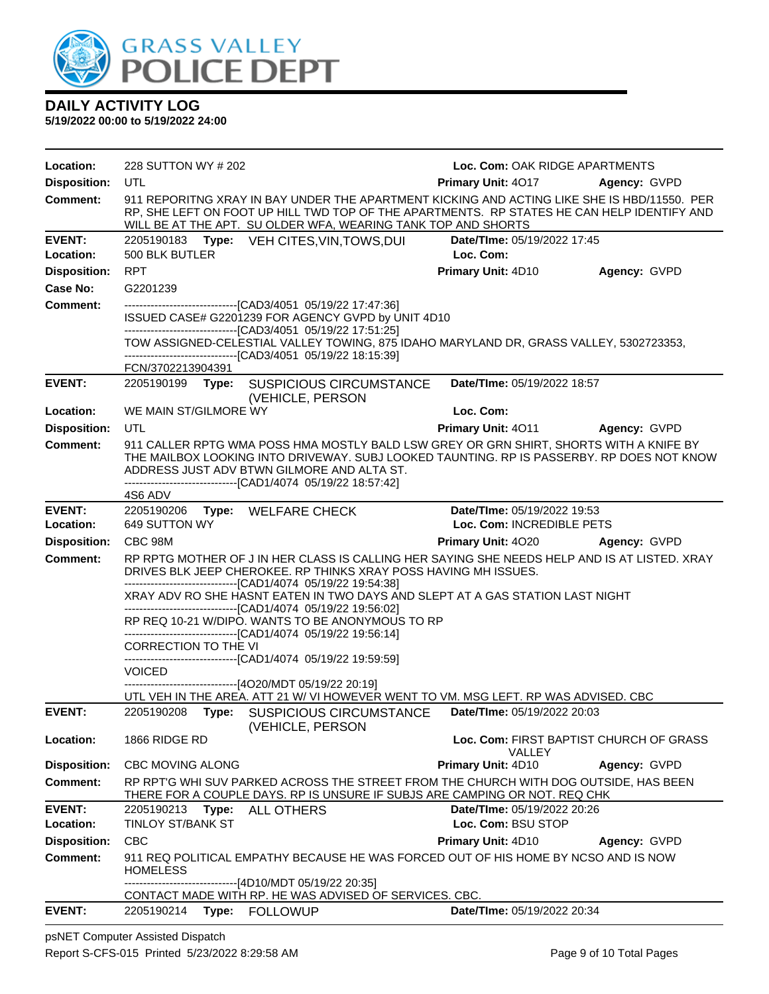

**5/19/2022 00:00 to 5/19/2022 24:00**

| Location:                  | 228 SUTTON WY # 202                                                                                                                                                                                                                                                                                | Loc. Com: OAK RIDGE APARTMENTS                           |              |
|----------------------------|----------------------------------------------------------------------------------------------------------------------------------------------------------------------------------------------------------------------------------------------------------------------------------------------------|----------------------------------------------------------|--------------|
| <b>Disposition:</b>        | <b>UTL</b>                                                                                                                                                                                                                                                                                         | <b>Primary Unit: 4017</b>                                | Agency: GVPD |
| <b>Comment:</b>            | 911 REPORITNG XRAY IN BAY UNDER THE APARTMENT KICKING AND ACTING LIKE SHE IS HBD/11550. PER<br>RP, SHE LEFT ON FOOT UP HILL TWD TOP OF THE APARTMENTS. RP STATES HE CAN HELP IDENTIFY AND<br>WILL BE AT THE APT. SU OLDER WFA, WEARING TANK TOP AND SHORTS                                         |                                                          |              |
| <b>EVENT:</b>              | 2205190183 Type: VEH CITES, VIN, TOWS, DUI                                                                                                                                                                                                                                                         | Date/TIme: 05/19/2022 17:45                              |              |
| Location:                  | 500 BLK BUTLER                                                                                                                                                                                                                                                                                     | Loc. Com:                                                |              |
| <b>Disposition:</b>        | <b>RPT</b>                                                                                                                                                                                                                                                                                         | Primary Unit: 4D10                                       | Agency: GVPD |
| Case No:                   | G2201239                                                                                                                                                                                                                                                                                           |                                                          |              |
| Comment:                   | ---------------------------------[CAD3/4051 05/19/22 17:47:36]<br>ISSUED CASE# G2201239 FOR AGENCY GVPD by UNIT 4D10<br>--------------------------------[CAD3/4051 05/19/22 17:51:25]<br>TOW ASSIGNED-CELESTIAL VALLEY TOWING, 875 IDAHO MARYLAND DR, GRASS VALLEY, 5302723353,                    |                                                          |              |
|                            | -------------------------------[CAD3/4051 05/19/22 18:15:39]                                                                                                                                                                                                                                       |                                                          |              |
|                            | FCN/3702213904391                                                                                                                                                                                                                                                                                  |                                                          |              |
| <b>EVENT:</b>              | 2205190199 Type: SUSPICIOUS CIRCUMSTANCE<br>(VEHICLE, PERSON                                                                                                                                                                                                                                       | Date/TIme: 05/19/2022 18:57                              |              |
| Location:                  | WE MAIN ST/GILMORE WY                                                                                                                                                                                                                                                                              | Loc. Com:                                                |              |
| <b>Disposition:</b>        | UTL                                                                                                                                                                                                                                                                                                | <b>Primary Unit: 4011</b>                                | Agency: GVPD |
| <b>Comment:</b>            | 911 CALLER RPTG WMA POSS HMA MOSTLY BALD LSW GREY OR GRN SHIRT, SHORTS WITH A KNIFE BY<br>THE MAILBOX LOOKING INTO DRIVEWAY. SUBJ LOOKED TAUNTING. RP IS PASSERBY. RP DOES NOT KNOW<br>ADDRESS JUST ADV BTWN GILMORE AND ALTA ST.<br>--------------------------------[CAD1/4074 05/19/22 18:57:42] |                                                          |              |
|                            | 4S6 ADV                                                                                                                                                                                                                                                                                            |                                                          |              |
| <b>EVENT:</b><br>Location: | 2205190206 Type: WELFARE CHECK<br>649 SUTTON WY                                                                                                                                                                                                                                                    | Date/TIme: 05/19/2022 19:53<br>Loc. Com: INCREDIBLE PETS |              |
| <b>Disposition:</b>        | CBC 98M                                                                                                                                                                                                                                                                                            | <b>Primary Unit: 4020</b>                                | Agency: GVPD |
| <b>Comment:</b>            | RP RPTG MOTHER OF J IN HER CLASS IS CALLING HER SAYING SHE NEEDS HELP AND IS AT LISTED. XRAY                                                                                                                                                                                                       |                                                          |              |
|                            | DRIVES BLK JEEP CHEROKEE. RP THINKS XRAY POSS HAVING MH ISSUES.<br>--------------------------------[CAD1/4074 05/19/22 19:54:38]                                                                                                                                                                   |                                                          |              |
|                            | XRAY ADV RO SHE HASNT EATEN IN TWO DAYS AND SLEPT AT A GAS STATION LAST NIGHT<br>--------------------------------[CAD1/4074 05/19/22 19:56:02]                                                                                                                                                     |                                                          |              |
|                            | RP REQ 10-21 W/DIPO. WANTS TO BE ANONYMOUS TO RP<br>-------------------------------[CAD1/4074 05/19/22 19:56:14]                                                                                                                                                                                   |                                                          |              |
|                            | <b>CORRECTION TO THE VI</b>                                                                                                                                                                                                                                                                        |                                                          |              |
|                            | --------------------------------[CAD1/4074 05/19/22 19:59:59]<br><b>VOICED</b>                                                                                                                                                                                                                     |                                                          |              |
|                            | -------------------------------[4O20/MDT 05/19/22 20:19]                                                                                                                                                                                                                                           |                                                          |              |
|                            | UTL VEH IN THE AREA. ATT 21 W/ VI HOWEVER WENT TO VM. MSG LEFT. RP WAS ADVISED. CBC                                                                                                                                                                                                                |                                                          |              |
| <b>EVENT:</b>              | 2205190208<br>Type: SUSPICIOUS CIRCUMSTANCE<br>(VEHICLE, PERSON                                                                                                                                                                                                                                    | Date/TIme: 05/19/2022 20:03                              |              |
| Location:                  | 1866 RIDGE RD                                                                                                                                                                                                                                                                                      | Loc. Com: FIRST BAPTIST CHURCH OF GRASS<br><b>VALLEY</b> |              |
| <b>Disposition:</b>        | <b>CBC MOVING ALONG</b>                                                                                                                                                                                                                                                                            | <b>Primary Unit: 4D10</b>                                | Agency: GVPD |
| <b>Comment:</b>            | RP RPTG WHI SUV PARKED ACROSS THE STREET FROM THE CHURCH WITH DOG OUTSIDE, HAS BEEN<br>THERE FOR A COUPLE DAYS. RP IS UNSURE IF SUBJS ARE CAMPING OR NOT. REQ CHK                                                                                                                                  |                                                          |              |
| <b>EVENT:</b><br>Location: | Type: ALL OTHERS<br>2205190213<br>TINLOY ST/BANK ST                                                                                                                                                                                                                                                | Date/TIme: 05/19/2022 20:26<br>Loc. Com: BSU STOP        |              |
| <b>Disposition:</b>        | <b>CBC</b>                                                                                                                                                                                                                                                                                         | <b>Primary Unit: 4D10</b>                                | Agency: GVPD |
| Comment:                   | 911 REQ POLITICAL EMPATHY BECAUSE HE WAS FORCED OUT OF HIS HOME BY NCSO AND IS NOW<br><b>HOMELESS</b>                                                                                                                                                                                              |                                                          |              |
|                            | --[4D10/MDT 05/19/22 20:35]<br>CONTACT MADE WITH RP. HE WAS ADVISED OF SERVICES. CBC.                                                                                                                                                                                                              |                                                          |              |
| <b>EVENT:</b>              | 2205190214<br>Type: FOLLOWUP                                                                                                                                                                                                                                                                       | Date/TIme: 05/19/2022 20:34                              |              |

psNET Computer Assisted Dispatch Report S-CFS-015 Printed 5/23/2022 8:29:58 AM Page 9 of 10 Total Pages